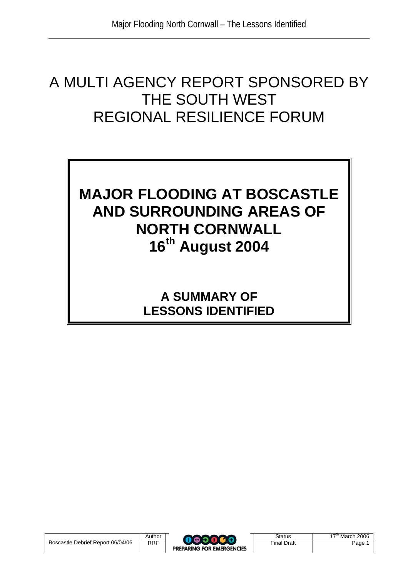# A MULTI AGENCY REPORT SPONSORED BY THE SOUTH WEST REGIONAL RESILIENCE FORUM

# **MAJOR FLOODING AT BOSCASTLE AND SURROUNDING AREAS OF NORTH CORNWALL 16th August 2004**

**A SUMMARY OF LESSONS IDENTIFIED**

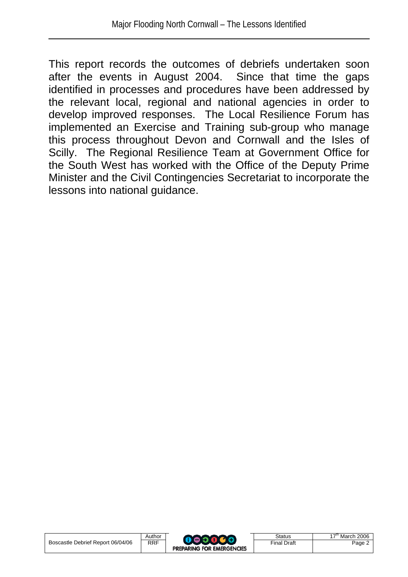This report records the outcomes of debriefs undertaken soon after the events in August 2004. Since that time the gaps identified in processes and procedures have been addressed by the relevant local, regional and national agencies in order to develop improved responses. The Local Resilience Forum has implemented an Exercise and Training sub-group who manage this process throughout Devon and Cornwall and the Isles of Scilly. The Regional Resilience Team at Government Office for the South West has worked with the Office of the Deputy Prime Minister and the Civil Contingencies Secretariat to incorporate the lessons into national guidance.

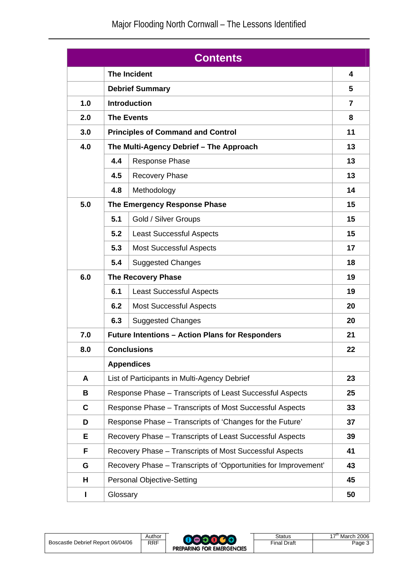| <b>Contents</b> |                                          |                                                                       |    |  |  |
|-----------------|------------------------------------------|-----------------------------------------------------------------------|----|--|--|
|                 | <b>The Incident</b>                      |                                                                       |    |  |  |
|                 |                                          | <b>Debrief Summary</b>                                                |    |  |  |
| 1.0             |                                          | <b>Introduction</b>                                                   |    |  |  |
| 2.0             |                                          | <b>The Events</b>                                                     |    |  |  |
| 3.0             | <b>Principles of Command and Control</b> |                                                                       |    |  |  |
| 4.0             | The Multi-Agency Debrief - The Approach  |                                                                       | 13 |  |  |
|                 | 4.4                                      | <b>Response Phase</b>                                                 | 13 |  |  |
|                 | 4.5                                      | <b>Recovery Phase</b>                                                 | 13 |  |  |
|                 | 4.8                                      | Methodology                                                           | 14 |  |  |
| 5.0             |                                          | The Emergency Response Phase                                          |    |  |  |
|                 | 5.1                                      | Gold / Silver Groups                                                  | 15 |  |  |
|                 | 5.2                                      | <b>Least Successful Aspects</b>                                       | 15 |  |  |
|                 | 5.3                                      | <b>Most Successful Aspects</b>                                        | 17 |  |  |
|                 | 5.4                                      | <b>Suggested Changes</b>                                              | 18 |  |  |
| 6.0             | <b>The Recovery Phase</b>                |                                                                       |    |  |  |
|                 | 6.1                                      | <b>Least Successful Aspects</b>                                       | 19 |  |  |
|                 | 6.2                                      | <b>Most Successful Aspects</b>                                        | 20 |  |  |
|                 | 6.3                                      | <b>Suggested Changes</b>                                              | 20 |  |  |
| 7.0             |                                          | <b>Future Intentions - Action Plans for Responders</b><br>21          |    |  |  |
| 8.0             |                                          | <b>Conclusions</b><br>22                                              |    |  |  |
|                 |                                          | <b>Appendices</b>                                                     |    |  |  |
| A               |                                          | List of Participants in Multi-Agency Debrief                          | 23 |  |  |
| B               |                                          | Response Phase - Transcripts of Least Successful Aspects              | 25 |  |  |
| C               |                                          | Response Phase - Transcripts of Most Successful Aspects               | 33 |  |  |
| D               |                                          | Response Phase - Transcripts of 'Changes for the Future'<br>37        |    |  |  |
| Е               |                                          | Recovery Phase - Transcripts of Least Successful Aspects<br>39        |    |  |  |
| F               |                                          | Recovery Phase - Transcripts of Most Successful Aspects<br>41         |    |  |  |
| G               |                                          | Recovery Phase - Transcripts of 'Opportunities for Improvement'<br>43 |    |  |  |
| н               | <b>Personal Objective-Setting</b><br>45  |                                                                       |    |  |  |
| L               | Glossary<br>50                           |                                                                       |    |  |  |

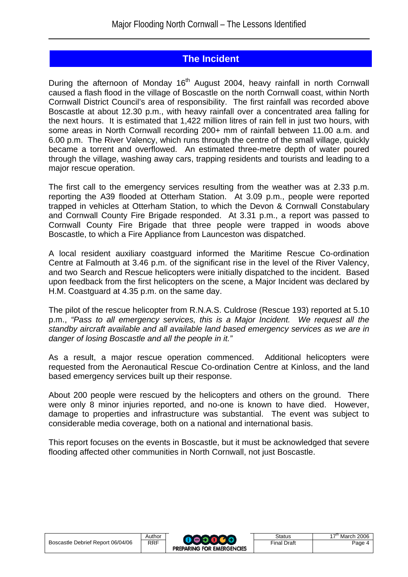## **The Incident**

During the afternoon of Monday 16<sup>th</sup> August 2004, heavy rainfall in north Cornwall caused a flash flood in the village of Boscastle on the north Cornwall coast, within North Cornwall District Council's area of responsibility. The first rainfall was recorded above Boscastle at about 12.30 p.m., with heavy rainfall over a concentrated area falling for the next hours. It is estimated that 1,422 million litres of rain fell in just two hours, with some areas in North Cornwall recording 200+ mm of rainfall between 11.00 a.m. and 6.00 p.m. The River Valency, which runs through the centre of the small village, quickly became a torrent and overflowed. An estimated three-metre depth of water poured through the village, washing away cars, trapping residents and tourists and leading to a major rescue operation.

The first call to the emergency services resulting from the weather was at 2.33 p.m. reporting the A39 flooded at Otterham Station. At 3.09 p.m., people were reported trapped in vehicles at Otterham Station, to which the Devon & Cornwall Constabulary and Cornwall County Fire Brigade responded. At 3.31 p.m., a report was passed to Cornwall County Fire Brigade that three people were trapped in woods above Boscastle, to which a Fire Appliance from Launceston was dispatched.

A local resident auxiliary coastguard informed the Maritime Rescue Co-ordination Centre at Falmouth at 3.46 p.m. of the significant rise in the level of the River Valency, and two Search and Rescue helicopters were initially dispatched to the incident. Based upon feedback from the first helicopters on the scene, a Major Incident was declared by H.M. Coastguard at 4.35 p.m. on the same day.

The pilot of the rescue helicopter from R.N.A.S. Culdrose (Rescue 193) reported at 5.10 p.m., *"Pass to all emergency services, this is a Major Incident. We request all the standby aircraft available and all available land based emergency services as we are in danger of losing Boscastle and all the people in it."* 

As a result, a major rescue operation commenced. Additional helicopters were requested from the Aeronautical Rescue Co-ordination Centre at Kinloss, and the land based emergency services built up their response.

About 200 people were rescued by the helicopters and others on the ground. There were only 8 minor injuries reported, and no-one is known to have died. However, damage to properties and infrastructure was substantial. The event was subject to considerable media coverage, both on a national and international basis.

This report focuses on the events in Boscastle, but it must be acknowledged that severe flooding affected other communities in North Cornwall, not just Boscastle.

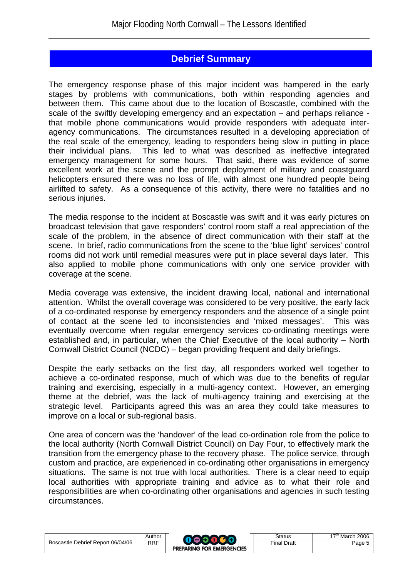## **Debrief Summary**

The emergency response phase of this major incident was hampered in the early stages by problems with communications, both within responding agencies and between them. This came about due to the location of Boscastle, combined with the scale of the swiftly developing emergency and an expectation – and perhaps reliance that mobile phone communications would provide responders with adequate interagency communications. The circumstances resulted in a developing appreciation of the real scale of the emergency, leading to responders being slow in putting in place their individual plans. This led to what was described as ineffective integrated emergency management for some hours. That said, there was evidence of some excellent work at the scene and the prompt deployment of military and coastguard helicopters ensured there was no loss of life, with almost one hundred people being airlifted to safety. As a consequence of this activity, there were no fatalities and no serious injuries.

The media response to the incident at Boscastle was swift and it was early pictures on broadcast television that gave responders' control room staff a real appreciation of the scale of the problem, in the absence of direct communication with their staff at the scene. In brief, radio communications from the scene to the 'blue light' services' control rooms did not work until remedial measures were put in place several days later. This also applied to mobile phone communications with only one service provider with coverage at the scene.

Media coverage was extensive, the incident drawing local, national and international attention. Whilst the overall coverage was considered to be very positive, the early lack of a co-ordinated response by emergency responders and the absence of a single point of contact at the scene led to inconsistencies and 'mixed messages'. This was eventually overcome when regular emergency services co-ordinating meetings were established and, in particular, when the Chief Executive of the local authority – North Cornwall District Council (NCDC) – began providing frequent and daily briefings.

Despite the early setbacks on the first day, all responders worked well together to achieve a co-ordinated response, much of which was due to the benefits of regular training and exercising, especially in a multi-agency context. However, an emerging theme at the debrief, was the lack of multi-agency training and exercising at the strategic level. Participants agreed this was an area they could take measures to improve on a local or sub-regional basis.

One area of concern was the 'handover' of the lead co-ordination role from the police to the local authority (North Cornwall District Council) on Day Four, to effectively mark the transition from the emergency phase to the recovery phase. The police service, through custom and practice, are experienced in co-ordinating other organisations in emergency situations. The same is not true with local authorities. There is a clear need to equip local authorities with appropriate training and advice as to what their role and responsibilities are when co-ordinating other organisations and agencies in such testing circumstances.

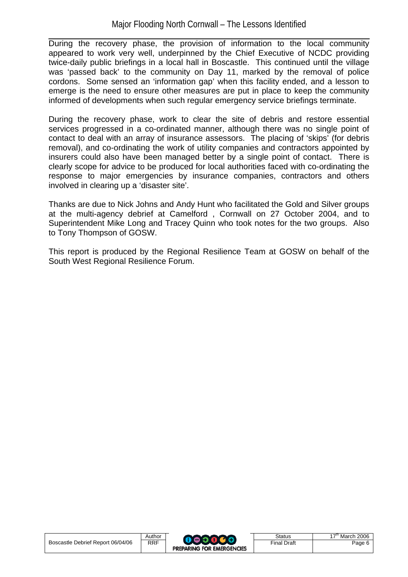During the recovery phase, the provision of information to the local community appeared to work very well, underpinned by the Chief Executive of NCDC providing twice-daily public briefings in a local hall in Boscastle. This continued until the village was 'passed back' to the community on Day 11, marked by the removal of police cordons. Some sensed an 'information gap' when this facility ended, and a lesson to emerge is the need to ensure other measures are put in place to keep the community informed of developments when such regular emergency service briefings terminate.

During the recovery phase, work to clear the site of debris and restore essential services progressed in a co-ordinated manner, although there was no single point of contact to deal with an array of insurance assessors. The placing of 'skips' (for debris removal), and co-ordinating the work of utility companies and contractors appointed by insurers could also have been managed better by a single point of contact. There is clearly scope for advice to be produced for local authorities faced with co-ordinating the response to major emergencies by insurance companies, contractors and others involved in clearing up a 'disaster site'.

Thanks are due to Nick Johns and Andy Hunt who facilitated the Gold and Silver groups at the multi-agency debrief at Camelford , Cornwall on 27 October 2004, and to Superintendent Mike Long and Tracey Quinn who took notes for the two groups. Also to Tony Thompson of GOSW.

This report is produced by the Regional Resilience Team at GOSW on behalf of the South West Regional Resilience Forum.

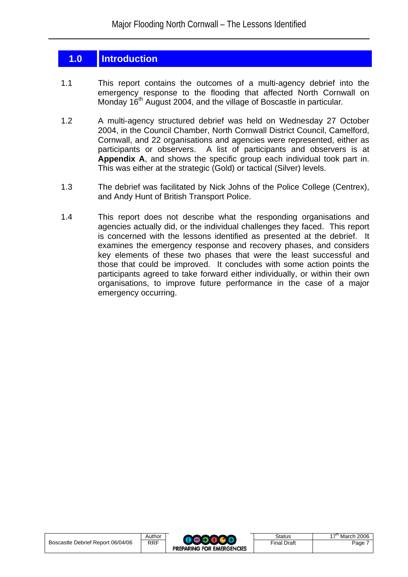## **1.0 Introduction**

- 1.1 This report contains the outcomes of a multi-agency debrief into the emergency response to the flooding that affected North Cornwall on Monday 16th August 2004, and the village of Boscastle in particular*.*
- 1.2 A multi-agency structured debrief was held on Wednesday 27 October 2004, in the Council Chamber, North Cornwall District Council, Camelford, Cornwall, and 22 organisations and agencies were represented, either as participants or observers. A list of participants and observers is at **Appendix A**, and shows the specific group each individual took part in. This was either at the strategic (Gold) or tactical (Silver) levels.
- 1.3 The debrief was facilitated by Nick Johns of the Police College (Centrex), and Andy Hunt of British Transport Police.
- 1.4 This report does not describe what the responding organisations and agencies actually did, or the individual challenges they faced. This report is concerned with the lessons identified as presented at the debrief. It examines the emergency response and recovery phases, and considers key elements of these two phases that were the least successful and those that could be improved. It concludes with some action points the participants agreed to take forward either individually, or within their own organisations, to improve future performance in the case of a major emergency occurring.

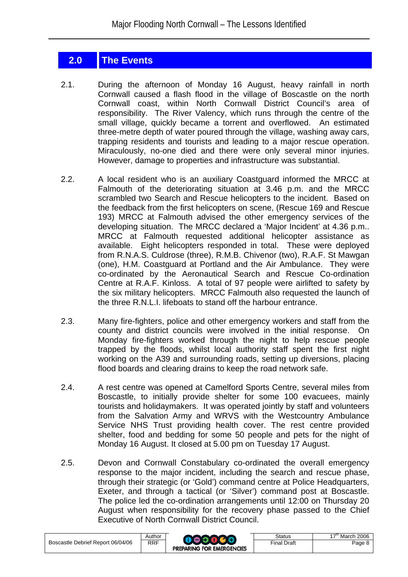## **2.0 The Events**

- 2.1. During the afternoon of Monday 16 August, heavy rainfall in north Cornwall caused a flash flood in the village of Boscastle on the north Cornwall coast, within North Cornwall District Council's area of responsibility. The River Valency, which runs through the centre of the small village, quickly became a torrent and overflowed. An estimated three-metre depth of water poured through the village, washing away cars, trapping residents and tourists and leading to a major rescue operation. Miraculously, no-one died and there were only several minor injuries. However, damage to properties and infrastructure was substantial.
- 2.2. A local resident who is an auxiliary Coastguard informed the MRCC at Falmouth of the deteriorating situation at 3.46 p.m. and the MRCC scrambled two Search and Rescue helicopters to the incident. Based on the feedback from the first helicopters on scene, (Rescue 169 and Rescue 193) MRCC at Falmouth advised the other emergency services of the developing situation. The MRCC declared a 'Major Incident' at 4.36 p.m.. MRCC at Falmouth requested additional helicopter assistance as available. Eight helicopters responded in total. These were deployed from R.N.A.S. Culdrose (three), R.M.B. Chivenor (two), R.A.F. St Mawgan (one), H.M. Coastguard at Portland and the Air Ambulance. They were co-ordinated by the Aeronautical Search and Rescue Co-ordination Centre at R.A.F. Kinloss. A total of 97 people were airlifted to safety by the six military helicopters. MRCC Falmouth also requested the launch of the three R.N.L.I. lifeboats to stand off the harbour entrance.
- 2.3. Many fire-fighters, police and other emergency workers and staff from the county and district councils were involved in the initial response. On Monday fire-fighters worked through the night to help rescue people trapped by the floods, whilst local authority staff spent the first night working on the A39 and surrounding roads, setting up diversions, placing flood boards and clearing drains to keep the road network safe.
- 2.4. A rest centre was opened at Camelford Sports Centre, several miles from Boscastle, to initially provide shelter for some 100 evacuees, mainly tourists and holidaymakers. It was operated jointly by staff and volunteers from the Salvation Army and WRVS with the Westcountry Ambulance Service NHS Trust providing health cover. The rest centre provided shelter, food and bedding for some 50 people and pets for the night of Monday 16 August. It closed at 5.00 pm on Tuesday 17 August.
- 2.5. Devon and Cornwall Constabulary co-ordinated the overall emergency response to the major incident, including the search and rescue phase, through their strategic (or 'Gold') command centre at Police Headquarters, Exeter, and through a tactical (or 'Silver') command post at Boscastle. The police led the co-ordination arrangements until 12:00 on Thursday 20 August when responsibility for the recovery phase passed to the Chief Executive of North Cornwall District Council.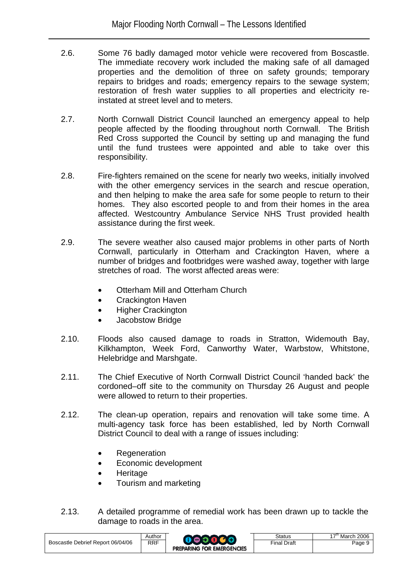- 2.6. Some 76 badly damaged motor vehicle were recovered from Boscastle. The immediate recovery work included the making safe of all damaged properties and the demolition of three on safety grounds; temporary repairs to bridges and roads; emergency repairs to the sewage system; restoration of fresh water supplies to all properties and electricity reinstated at street level and to meters.
- 2.7. North Cornwall District Council launched an emergency appeal to help people affected by the flooding throughout north Cornwall. The British Red Cross supported the Council by setting up and managing the fund until the fund trustees were appointed and able to take over this responsibility.
- 2.8. Fire-fighters remained on the scene for nearly two weeks, initially involved with the other emergency services in the search and rescue operation, and then helping to make the area safe for some people to return to their homes. They also escorted people to and from their homes in the area affected. Westcountry Ambulance Service NHS Trust provided health assistance during the first week.
- 2.9. The severe weather also caused major problems in other parts of North Cornwall, particularly in Otterham and Crackington Haven, where a number of bridges and footbridges were washed away, together with large stretches of road. The worst affected areas were:
	- Otterham Mill and Otterham Church
	- Crackington Haven
	- Higher Crackington
	- Jacobstow Bridge
- 2.10. Floods also caused damage to roads in Stratton, Widemouth Bay, Kilkhampton, Week Ford, Canworthy Water, Warbstow, Whitstone, Helebridge and Marshgate.
- 2.11. The Chief Executive of North Cornwall District Council 'handed back' the cordoned–off site to the community on Thursday 26 August and people were allowed to return to their properties.
- 2.12. The clean-up operation, repairs and renovation will take some time. A multi-agency task force has been established, led by North Cornwall District Council to deal with a range of issues including:
	- Regeneration
	- Economic development
	- Heritage
	- Tourism and marketing
- 2.13. A detailed programme of remedial work has been drawn up to tackle the damage to roads in the area.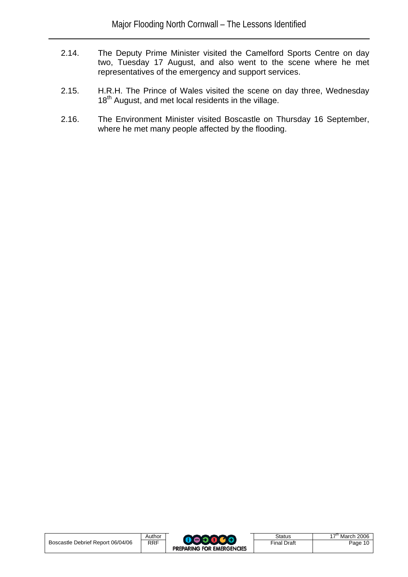- 2.14. The Deputy Prime Minister visited the Camelford Sports Centre on day two, Tuesday 17 August, and also went to the scene where he met representatives of the emergency and support services.
- 2.15. H.R.H. The Prince of Wales visited the scene on day three, Wednesday 18<sup>th</sup> August, and met local residents in the village.
- 2.16. The Environment Minister visited Boscastle on Thursday 16 September, where he met many people affected by the flooding.

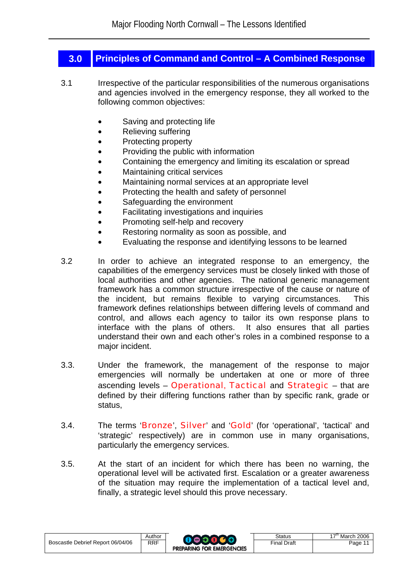## **3.0 Principles of Command and Control – A Combined Response**

- 3.1 Irrespective of the particular responsibilities of the numerous organisations and agencies involved in the emergency response, they all worked to the following common objectives:
	- Saving and protecting life
	- Relieving suffering
	- Protecting property
	- Providing the public with information
	- Containing the emergency and limiting its escalation or spread
	- Maintaining critical services
	- Maintaining normal services at an appropriate level
	- Protecting the health and safety of personnel
	- Safeguarding the environment
	- Facilitating investigations and inquiries
	- Promoting self-help and recovery
	- Restoring normality as soon as possible, and
	- Evaluating the response and identifying lessons to be learned
- 3.2 In order to achieve an integrated response to an emergency, the capabilities of the emergency services must be closely linked with those of local authorities and other agencies. The national generic management framework has a common structure irrespective of the cause or nature of the incident, but remains flexible to varying circumstances. This framework defines relationships between differing levels of command and control, and allows each agency to tailor its own response plans to interface with the plans of others. It also ensures that all parties understand their own and each other's roles in a combined response to a major incident.
- 3.3. Under the framework, the management of the response to major emergencies will normally be undertaken at one or more of three ascending levels – Operational, Tactical and Strategic – that are defined by their differing functions rather than by specific rank, grade or status,
- 3.4. The terms 'Bronze', Silver' and 'Gold' (for 'operational', 'tactical' and 'strategic' respectively) are in common use in many organisations, particularly the emergency services.
- 3.5. At the start of an incident for which there has been no warning, the operational level will be activated first. Escalation or a greater awareness of the situation may require the implementation of a tactical level and, finally, a strategic level should this prove necessary.

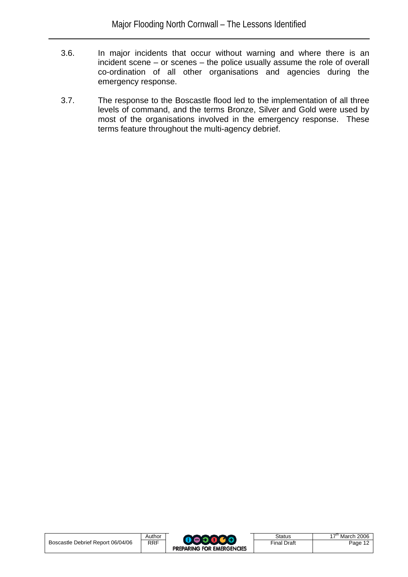- 3.6. In major incidents that occur without warning and where there is an incident scene – or scenes – the police usually assume the role of overall co-ordination of all other organisations and agencies during the emergency response.
- 3.7. The response to the Boscastle flood led to the implementation of all three levels of command, and the terms Bronze, Silver and Gold were used by most of the organisations involved in the emergency response. These terms feature throughout the multi-agency debrief.

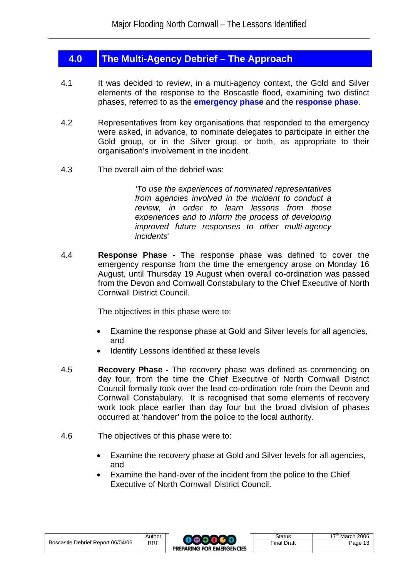## **4.0 The Multi-Agency Debrief – The Approach**

- 4.1 It was decided to review, in a multi-agency context, the Gold and Silver elements of the response to the Boscastle flood, examining two distinct phases, referred to as the **emergency phase** and the **response phase**.
- 4.2 Representatives from key organisations that responded to the emergency were asked, in advance, to nominate delegates to participate in either the Gold group, or in the Silver group, or both, as appropriate to their organisation's involvement in the incident.
- 4.3 The overall aim of the debrief was:

*'To use the experiences of nominated representatives from agencies involved in the incident to conduct a review, in order to learn lessons from those experiences and to inform the process of developing improved future responses to other multi-agency incidents'* 

4.4 **Response Phase -** The response phase was defined to cover the emergency response from the time the emergency arose on Monday 16 August, until Thursday 19 August when overall co-ordination was passed from the Devon and Cornwall Constabulary to the Chief Executive of North Cornwall District Council.

The objectives in this phase were to:

- Examine the response phase at Gold and Silver levels for all agencies, and
- Identify Lessons identified at these levels
- 4.5 **Recovery Phase** The recovery phase was defined as commencing on day four, from the time the Chief Executive of North Cornwall District Council formally took over the lead co-ordination role from the Devon and Cornwall Constabulary. It is recognised that some elements of recovery work took place earlier than day four but the broad division of phases occurred at 'handover' from the police to the local authority.
- 4.6 The objectives of this phase were to:
	- Examine the recovery phase at Gold and Silver levels for all agencies, and
	- Examine the hand-over of the incident from the police to the Chief Executive of North Cornwall District Council.

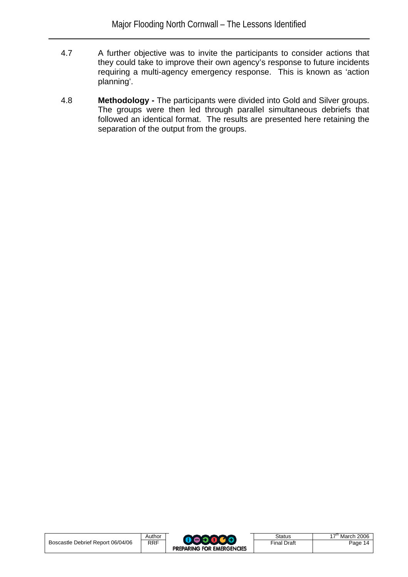- 4.7 A further objective was to invite the participants to consider actions that they could take to improve their own agency's response to future incidents requiring a multi-agency emergency response. This is known as 'action planning'.
- 4.8 **Methodology** The participants were divided into Gold and Silver groups. The groups were then led through parallel simultaneous debriefs that followed an identical format. The results are presented here retaining the separation of the output from the groups.

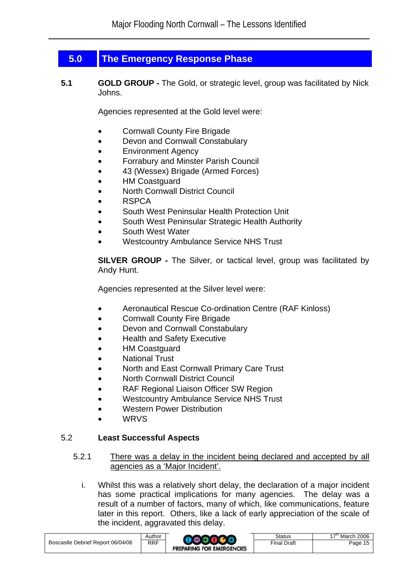## **5.0 The Emergency Response Phase**

**5.1 GOLD GROUP** - The Gold, or strategic level, group was facilitated by Nick Johns.

Agencies represented at the Gold level were:

- Cornwall County Fire Brigade
- Devon and Cornwall Constabulary
- Environment Agency
- Forrabury and Minster Parish Council
- 43 (Wessex) Brigade (Armed Forces)
- **HM Coastguard**
- North Cornwall District Council
- RSPCA
- South West Peninsular Health Protection Unit
- South West Peninsular Strategic Health Authority
- South West Water
- Westcountry Ambulance Service NHS Trust

**SILVER GROUP -** The Silver, or tactical level, group was facilitated by Andy Hunt.

Agencies represented at the Silver level were:

- Aeronautical Rescue Co-ordination Centre (RAF Kinloss)
- Cornwall County Fire Brigade
- Devon and Cornwall Constabulary
- Health and Safety Executive
- HM Coastguard
- National Trust
- North and East Cornwall Primary Care Trust
- North Cornwall District Council
- RAF Regional Liaison Officer SW Region
- Westcountry Ambulance Service NHS Trust
- Western Power Distribution
- WRVS

### 5.2 **Least Successful Aspects**

- 5.2.1 There was a delay in the incident being declared and accepted by all agencies as a 'Major Incident'.
	- i. Whilst this was a relatively short delay, the declaration of a major incident has some practical implications for many agencies. The delay was a result of a number of factors, many of which, like communications, feature later in this report. Others, like a lack of early appreciation of the scale of the incident, aggravated this delay.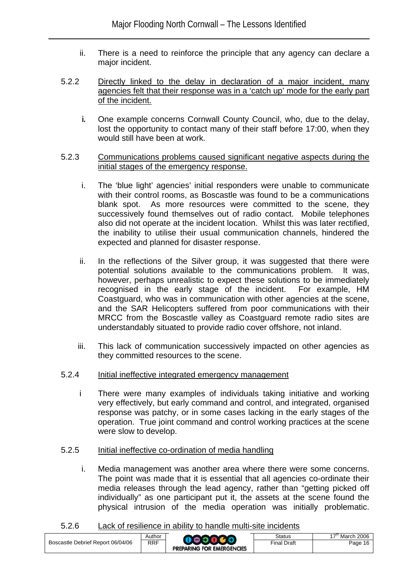- ii. There is a need to reinforce the principle that any agency can declare a major incident.
- 5.2.2 Directly linked to the delay in declaration of a major incident, many agencies felt that their response was in a 'catch up' mode for the early part of the incident.
	- **i.** One example concerns Cornwall County Council, who, due to the delay, lost the opportunity to contact many of their staff before 17:00, when they would still have been at work.
- 5.2.3 Communications problems caused significant negative aspects during the initial stages of the emergency response.
	- i. The 'blue light' agencies' initial responders were unable to communicate with their control rooms, as Boscastle was found to be a communications blank spot. As more resources were committed to the scene, they successively found themselves out of radio contact. Mobile telephones also did not operate at the incident location. Whilst this was later rectified, the inability to utilise their usual communication channels, hindered the expected and planned for disaster response.
	- ii. In the reflections of the Silver group, it was suggested that there were potential solutions available to the communications problem. It was, however, perhaps unrealistic to expect these solutions to be immediately recognised in the early stage of the incident. For example, HM Coastguard, who was in communication with other agencies at the scene, and the SAR Helicopters suffered from poor communications with their MRCC from the Boscastle valley as Coastguard remote radio sites are understandably situated to provide radio cover offshore, not inland.
	- iii. This lack of communication successively impacted on other agencies as they committed resources to the scene.
- 5.2.4 Initial ineffective integrated emergency management
	- i There were many examples of individuals taking initiative and working very effectively, but early command and control, and integrated, organised response was patchy, or in some cases lacking in the early stages of the operation. True joint command and control working practices at the scene were slow to develop.
- 5.2.5 Initial ineffective co-ordination of media handling
	- i. Media management was another area where there were some concerns. The point was made that it is essential that all agencies co-ordinate their media releases through the lead agency, rather than "getting picked off individually" as one participant put it, the assets at the scene found the physical intrusion of the media operation was initially problematic.
- 5.2.6 Lack of resilience in ability to handle multi-site incidents

|                                   | Author     |                                  | Status             | ı 2006<br>υ - π<br>March |
|-----------------------------------|------------|----------------------------------|--------------------|--------------------------|
| Boscastle Debrief Report 06/04/06 | <b>RRF</b> | <b>PREPARING FOR EMERGENCIES</b> | <b>Final Draft</b> | Page 16                  |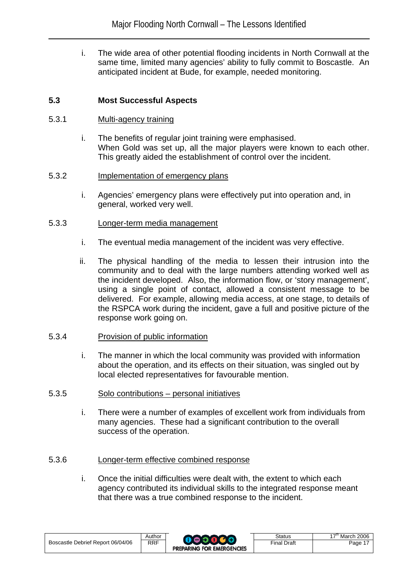i. The wide area of other potential flooding incidents in North Cornwall at the same time, limited many agencies' ability to fully commit to Boscastle. An anticipated incident at Bude, for example, needed monitoring.

#### **5.3 Most Successful Aspects**

#### 5.3.1 Multi-agency training

i. The benefits of regular joint training were emphasised. When Gold was set up, all the major players were known to each other. This greatly aided the establishment of control over the incident.

#### 5.3.2 Implementation of emergency plans

i. Agencies' emergency plans were effectively put into operation and, in general, worked very well.

#### 5.3.3 Longer-term media management

- i. The eventual media management of the incident was very effective.
- ii. The physical handling of the media to lessen their intrusion into the community and to deal with the large numbers attending worked well as the incident developed. Also, the information flow, or 'story management', using a single point of contact, allowed a consistent message to be delivered. For example, allowing media access, at one stage, to details of the RSPCA work during the incident, gave a full and positive picture of the response work going on.

#### 5.3.4 Provision of public information

- i. The manner in which the local community was provided with information about the operation, and its effects on their situation, was singled out by local elected representatives for favourable mention.
- 5.3.5 Solo contributions personal initiatives
	- i. There were a number of examples of excellent work from individuals from many agencies. These had a significant contribution to the overall success of the operation.

#### 5.3.6 Longer-term effective combined response

i. Once the initial difficulties were dealt with, the extent to which each agency contributed its individual skills to the integrated response meant that there was a true combined response to the incident.

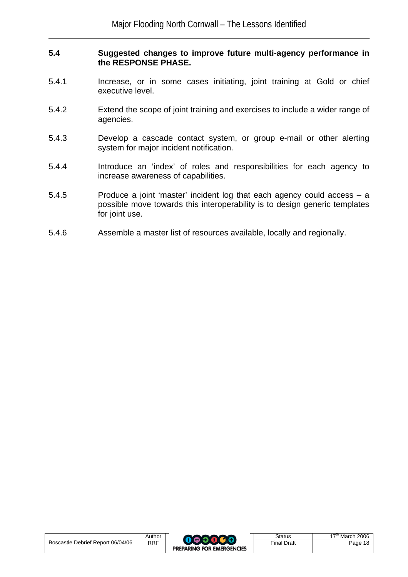#### **5.4 Suggested changes to improve future multi-agency performance in the RESPONSE PHASE.**

- 5.4.1 Increase, or in some cases initiating, joint training at Gold or chief executive level.
- 5.4.2 Extend the scope of joint training and exercises to include a wider range of agencies.
- 5.4.3 Develop a cascade contact system, or group e-mail or other alerting system for major incident notification.
- 5.4.4 Introduce an 'index' of roles and responsibilities for each agency to increase awareness of capabilities.
- 5.4.5 Produce a joint 'master' incident log that each agency could access a possible move towards this interoperability is to design generic templates for joint use.
- 5.4.6 Assemble a master list of resources available, locally and regionally.

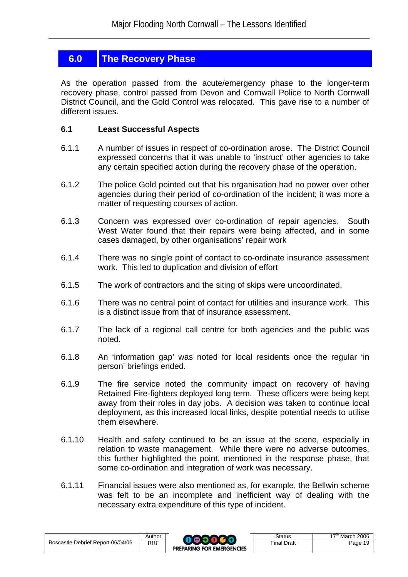## **6.0 The Recovery Phase**

As the operation passed from the acute/emergency phase to the longer-term recovery phase, control passed from Devon and Cornwall Police to North Cornwall District Council, and the Gold Control was relocated. This gave rise to a number of different issues.

### **6.1 Least Successful Aspects**

- 6.1.1 A number of issues in respect of co-ordination arose. The District Council expressed concerns that it was unable to 'instruct' other agencies to take any certain specified action during the recovery phase of the operation.
- 6.1.2 The police Gold pointed out that his organisation had no power over other agencies during their period of co-ordination of the incident; it was more a matter of requesting courses of action.
- 6.1.3 Concern was expressed over co-ordination of repair agencies. South West Water found that their repairs were being affected, and in some cases damaged, by other organisations' repair work
- 6.1.4 There was no single point of contact to co-ordinate insurance assessment work. This led to duplication and division of effort
- 6.1.5 The work of contractors and the siting of skips were uncoordinated.
- 6.1.6 There was no central point of contact for utilities and insurance work. This is a distinct issue from that of insurance assessment.
- 6.1.7 The lack of a regional call centre for both agencies and the public was noted.
- 6.1.8 An 'information gap' was noted for local residents once the regular 'in person' briefings ended.
- 6.1.9 The fire service noted the community impact on recovery of having Retained Fire-fighters deployed long term. These officers were being kept away from their roles in day jobs. A decision was taken to continue local deployment, as this increased local links, despite potential needs to utilise them elsewhere.
- 6.1.10 Health and safety continued to be an issue at the scene, especially in relation to waste management. While there were no adverse outcomes, this further highlighted the point, mentioned in the response phase, that some co-ordination and integration of work was necessary.
- 6.1.11 Financial issues were also mentioned as, for example, the Bellwin scheme was felt to be an incomplete and inefficient way of dealing with the necessary extra expenditure of this type of incident.

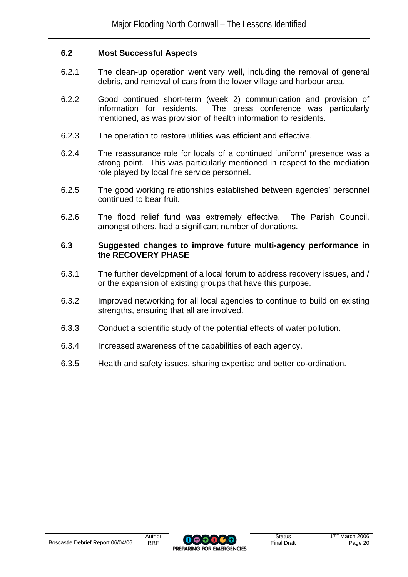### **6.2 Most Successful Aspects**

- 6.2.1 The clean-up operation went very well, including the removal of general debris, and removal of cars from the lower village and harbour area.
- 6.2.2 Good continued short-term (week 2) communication and provision of information for residents. The press conference was particularly mentioned, as was provision of health information to residents.
- 6.2.3 The operation to restore utilities was efficient and effective.
- 6.2.4 The reassurance role for locals of a continued 'uniform' presence was a strong point. This was particularly mentioned in respect to the mediation role played by local fire service personnel.
- 6.2.5 The good working relationships established between agencies' personnel continued to bear fruit.
- 6.2.6 The flood relief fund was extremely effective. The Parish Council, amongst others, had a significant number of donations.

#### **6.3 Suggested changes to improve future multi-agency performance in the RECOVERY PHASE**

- 6.3.1 The further development of a local forum to address recovery issues, and / or the expansion of existing groups that have this purpose.
- 6.3.2 Improved networking for all local agencies to continue to build on existing strengths, ensuring that all are involved.
- 6.3.3 Conduct a scientific study of the potential effects of water pollution.
- 6.3.4 Increased awareness of the capabilities of each agency.
- 6.3.5 Health and safety issues, sharing expertise and better co-ordination.

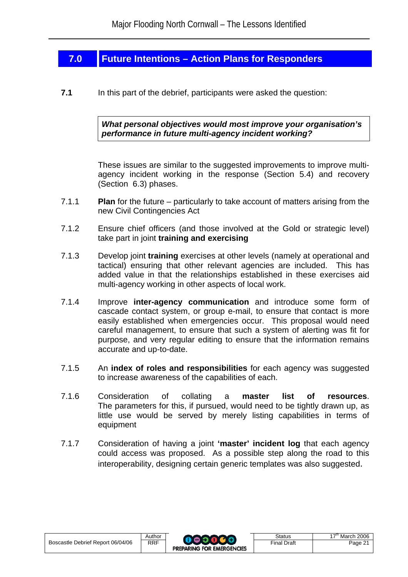## **7.0 Future Intentions – Action Plans for Responders**

**7.1** In this part of the debrief, participants were asked the question:

*What personal objectives would most improve your organisation's performance in future multi-agency incident working?*

These issues are similar to the suggested improvements to improve multiagency incident working in the response (Section 5.4) and recovery (Section 6.3) phases.

- 7.1.1 **Plan** for the future particularly to take account of matters arising from the new Civil Contingencies Act
- 7.1.2 Ensure chief officers (and those involved at the Gold or strategic level) take part in joint **training and exercising**
- 7.1.3 Develop joint **training** exercises at other levels (namely at operational and tactical) ensuring that other relevant agencies are included. This has added value in that the relationships established in these exercises aid multi-agency working in other aspects of local work.
- 7.1.4 Improve **inter-agency communication** and introduce some form of cascade contact system, or group e-mail, to ensure that contact is more easily established when emergencies occur. This proposal would need careful management, to ensure that such a system of alerting was fit for purpose, and very regular editing to ensure that the information remains accurate and up-to-date.
- 7.1.5 An **index of roles and responsibilities** for each agency was suggested to increase awareness of the capabilities of each.
- 7.1.6 Consideration of collating a **master list of resources**. The parameters for this, if pursued, would need to be tightly drawn up, as little use would be served by merely listing capabilities in terms of equipment
- 7.1.7 Consideration of having a joint **'master' incident log** that each agency could access was proposed. As a possible step along the road to this interoperability, designing certain generic templates was also suggested.

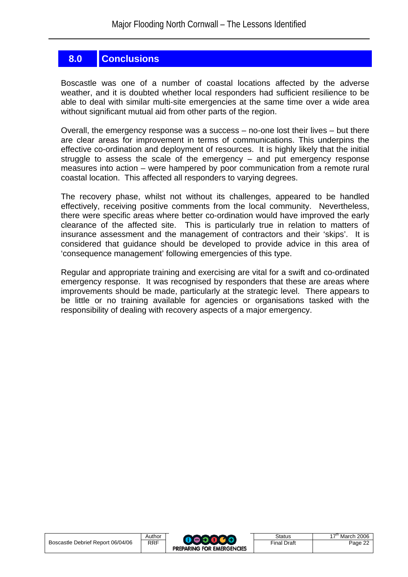## **8.0 Conclusions**

Boscastle was one of a number of coastal locations affected by the adverse weather, and it is doubted whether local responders had sufficient resilience to be able to deal with similar multi-site emergencies at the same time over a wide area without significant mutual aid from other parts of the region.

Overall, the emergency response was a success – no-one lost their lives – but there are clear areas for improvement in terms of communications. This underpins the effective co-ordination and deployment of resources. It is highly likely that the initial struggle to assess the scale of the emergency – and put emergency response measures into action – were hampered by poor communication from a remote rural coastal location. This affected all responders to varying degrees.

The recovery phase, whilst not without its challenges, appeared to be handled effectively, receiving positive comments from the local community. Nevertheless, there were specific areas where better co-ordination would have improved the early clearance of the affected site. This is particularly true in relation to matters of insurance assessment and the management of contractors and their 'skips'. It is considered that guidance should be developed to provide advice in this area of 'consequence management' following emergencies of this type.

Regular and appropriate training and exercising are vital for a swift and co-ordinated emergency response. It was recognised by responders that these are areas where improvements should be made, particularly at the strategic level. There appears to be little or no training available for agencies or organisations tasked with the responsibility of dealing with recovery aspects of a major emergency.

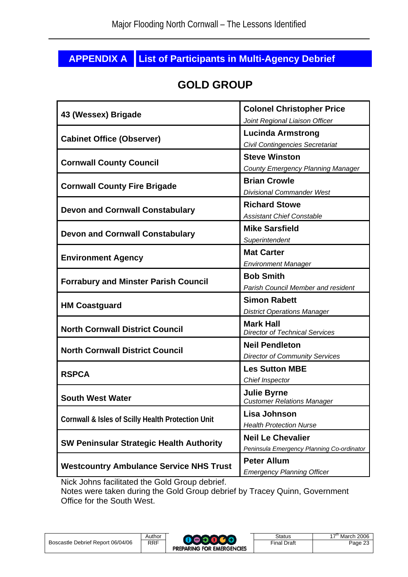## **APPENDIX A List of Participants in Multi-Agency Debrief**

## **GOLD GROUP**

| 43 (Wessex) Brigade                               | <b>Colonel Christopher Price</b><br>Joint Regional Liaison Officer    |
|---------------------------------------------------|-----------------------------------------------------------------------|
| <b>Cabinet Office (Observer)</b>                  | <b>Lucinda Armstrong</b><br>Civil Contingencies Secretariat           |
| <b>Cornwall County Council</b>                    | <b>Steve Winston</b><br><b>County Emergency Planning Manager</b>      |
| <b>Cornwall County Fire Brigade</b>               | <b>Brian Crowle</b><br><b>Divisional Commander West</b>               |
| <b>Devon and Cornwall Constabulary</b>            | <b>Richard Stowe</b><br><b>Assistant Chief Constable</b>              |
| <b>Devon and Cornwall Constabulary</b>            | <b>Mike Sarsfield</b><br>Superintendent                               |
| <b>Environment Agency</b>                         | <b>Mat Carter</b><br><b>Environment Manager</b>                       |
| <b>Forrabury and Minster Parish Council</b>       | <b>Bob Smith</b><br><b>Parish Council Member and resident</b>         |
|                                                   |                                                                       |
| <b>HM Coastguard</b>                              | <b>Simon Rabett</b><br><b>District Operations Manager</b>             |
| <b>North Cornwall District Council</b>            | <b>Mark Hall</b><br><b>Director of Technical Services</b>             |
| <b>North Cornwall District Council</b>            | <b>Neil Pendleton</b><br><b>Director of Community Services</b>        |
| <b>RSPCA</b>                                      | <b>Les Sutton MBE</b><br>Chief Inspector                              |
| <b>South West Water</b>                           | <b>Julie Byrne</b><br><b>Customer Relations Manager</b>               |
| Cornwall & Isles of Scilly Health Protection Unit | Lisa Johnson<br><b>Health Protection Nurse</b>                        |
| <b>SW Peninsular Strategic Health Authority</b>   | <b>Neil Le Chevalier</b><br>Peninsula Emergency Planning Co-ordinator |

Nick Johns facilitated the Gold Group debrief.

Notes were taken during the Gold Group debrief by Tracey Quinn, Government Office for the South West.

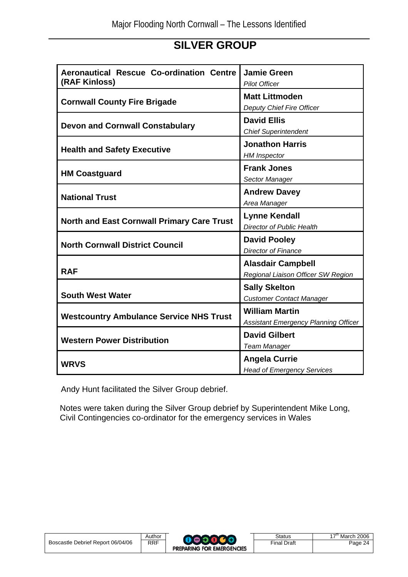## **SILVER GROUP**

| Aeronautical Rescue Co-ordination Centre<br>(RAF Kinloss) | <b>Jamie Green</b><br><b>Pilot Officer</b>                           |
|-----------------------------------------------------------|----------------------------------------------------------------------|
| <b>Cornwall County Fire Brigade</b>                       | <b>Matt Littmoden</b><br>Deputy Chief Fire Officer                   |
| <b>Devon and Cornwall Constabulary</b>                    | <b>David Ellis</b><br><b>Chief Superintendent</b>                    |
| <b>Health and Safety Executive</b>                        | <b>Jonathon Harris</b><br><b>HM</b> Inspector                        |
| <b>HM Coastguard</b>                                      | <b>Frank Jones</b><br>Sector Manager                                 |
| <b>National Trust</b>                                     | <b>Andrew Davey</b><br>Area Manager                                  |
| <b>North and East Cornwall Primary Care Trust</b>         | <b>Lynne Kendall</b><br><b>Director of Public Health</b>             |
| <b>North Cornwall District Council</b>                    | <b>David Pooley</b><br>Director of Finance                           |
| <b>RAF</b>                                                | <b>Alasdair Campbell</b><br>Regional Liaison Officer SW Region       |
| <b>South West Water</b>                                   | <b>Sally Skelton</b><br><b>Customer Contact Manager</b>              |
| <b>Westcountry Ambulance Service NHS Trust</b>            | <b>William Martin</b><br><b>Assistant Emergency Planning Officer</b> |
| <b>Western Power Distribution</b>                         | <b>David Gilbert</b><br><b>Team Manager</b>                          |
| <b>WRVS</b>                                               | <b>Angela Currie</b><br><b>Head of Emergency Services</b>            |

Andy Hunt facilitated the Silver Group debrief.

Notes were taken during the Silver Group debrief by Superintendent Mike Long, Civil Contingencies co-ordinator for the emergency services in Wales

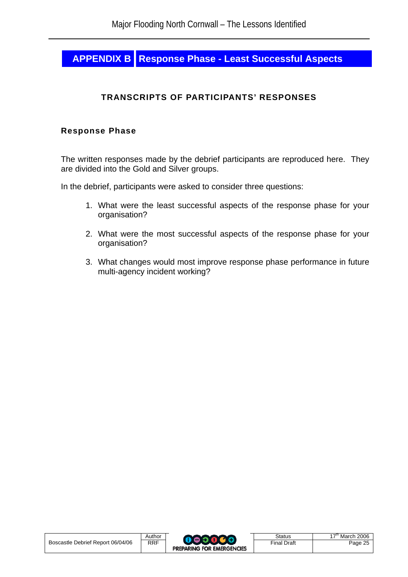## **APPENDIX B Response Phase - Least Successful Aspects**

## **TRANSCRIPTS OF PARTICIPANTS' RESPONSES**

#### **Response Phase**

The written responses made by the debrief participants are reproduced here. They are divided into the Gold and Silver groups.

In the debrief, participants were asked to consider three questions:

- 1. What were the least successful aspects of the response phase for your organisation?
- 2. What were the most successful aspects of the response phase for your organisation?
- 3. What changes would most improve response phase performance in future multi-agency incident working?

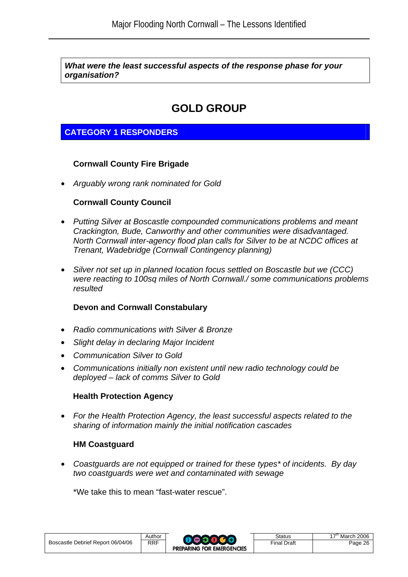*What were the least successful aspects of the response phase for your organisation?* 

## **GOLD GROUP**

## **CATEGORY 1 RESPONDERS**

## **Cornwall County Fire Brigade**

• *Arguably wrong rank nominated for Gold* 

### **Cornwall County Council**

- *Putting Silver at Boscastle compounded communications problems and meant Crackington, Bude, Canworthy and other communities were disadvantaged. North Cornwall inter-agency flood plan calls for Silver to be at NCDC offices at Trenant, Wadebridge (Cornwall Contingency planning)*
- *Silver not set up in planned location focus settled on Boscastle but we (CCC) were reacting to 100sq miles of North Cornwall./ some communications problems resulted*

### **Devon and Cornwall Constabulary**

- *Radio communications with Silver & Bronze*
- *Slight delay in declaring Major Incident*
- *Communication Silver to Gold*
- *Communications initially non existent until new radio technology could be deployed – lack of comms Silver to Gold*

### **Health Protection Agency**

• *For the Health Protection Agency, the least successful aspects related to the sharing of information mainly the initial notification cascades*

### **HM Coastguard**

• *Coastguards are not equipped or trained for these types\* of incidents. By day two coastguards were wet and contaminated with sewage* 

\*We take this to mean "fast-water rescue".

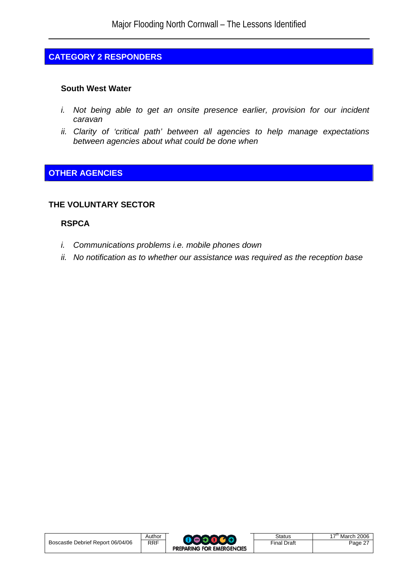## **CATEGORY 2 RESPONDERS**

#### **South West Water**

- *i.* Not being able to get an onsite presence earlier, provision for our incident *caravan*
- *ii. Clarity of 'critical path' between all agencies to help manage expectations between agencies about what could be done when*

## **OTHER AGENCIES**

### **THE VOLUNTARY SECTOR**

### **RSPCA**

- *i. Communications problems i.e. mobile phones down*
- *ii. No notification as to whether our assistance was required as the reception base*

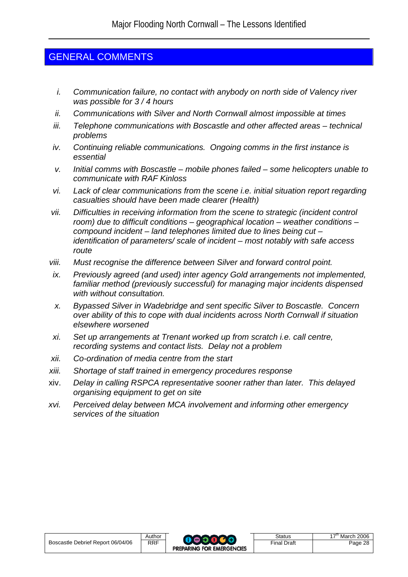## GENERAL COMMENTS

- *i. Communication failure, no contact with anybody on north side of Valency river was possible for 3 / 4 hours*
- *ii. Communications with Silver and North Cornwall almost impossible at times*
- *iii. Telephone communications with Boscastle and other affected areas technical problems*
- *iv. Continuing reliable communications. Ongoing comms in the first instance is essential*
- *v. Initial comms with Boscastle mobile phones failed some helicopters unable to communicate with RAF Kinloss*
- *vi. Lack of clear communications from the scene i.e. initial situation report regarding casualties should have been made clearer (Health)*
- *vii. Difficulties in receiving information from the scene to strategic (incident control room) due to difficult conditions – geographical location – weather conditions – compound incident – land telephones limited due to lines being cut – identification of parameters/ scale of incident – most notably with safe access route*
- *viii. Must recognise the difference between Silver and forward control point.*
- *ix. Previously agreed (and used) inter agency Gold arrangements not implemented, familiar method (previously successful) for managing major incidents dispensed with without consultation.*
- *x. Bypassed Silver in Wadebridge and sent specific Silver to Boscastle. Concern over ability of this to cope with dual incidents across North Cornwall if situation elsewhere worsened*
- *xi. Set up arrangements at Trenant worked up from scratch i.e. call centre, recording systems and contact lists. Delay not a problem*
- *xii. Co-ordination of media centre from the start*
- *xiii. Shortage of staff trained in emergency procedures response*
- xiv. *Delay in calling RSPCA representative sooner rather than later. This delayed organising equipment to get on site*
- *xvi. Perceived delay between MCA involvement and informing other emergency services of the situation*

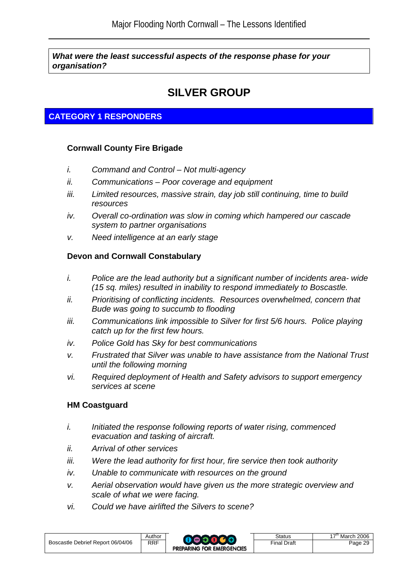*What were the least successful aspects of the response phase for your organisation?* 

## **SILVER GROUP**

## **CATEGORY 1 RESPONDERS**

### **Cornwall County Fire Brigade**

- *i. Command and Control Not multi-agency*
- *ii. Communications Poor coverage and equipment*
- *iii. Limited resources, massive strain, day job still continuing, time to build resources*
- *iv. Overall co-ordination was slow in coming which hampered our cascade system to partner organisations*
- *v. Need intelligence at an early stage*

### **Devon and Cornwall Constabulary**

- *i. Police are the lead authority but a significant number of incidents area- wide (15 sq. miles) resulted in inability to respond immediately to Boscastle.*
- *ii. Prioritising of conflicting incidents. Resources overwhelmed, concern that Bude was going to succumb to flooding*
- *iii. Communications link impossible to Silver for first 5/6 hours. Police playing catch up for the first few hours.*
- *iv. Police Gold has Sky for best communications*
- *v. Frustrated that Silver was unable to have assistance from the National Trust until the following morning*
- *vi. Required deployment of Health and Safety advisors to support emergency services at scene*

### **HM Coastguard**

- *i. Initiated the response following reports of water rising, commenced evacuation and tasking of aircraft.*
- *ii. Arrival of other services*
- *iii. Were the lead authority for first hour, fire service then took authority*
- *iv. Unable to communicate with resources on the ground*
- *v. Aerial observation would have given us the more strategic overview and scale of what we were facing.*
- *vi. Could we have airlifted the Silvers to scene?*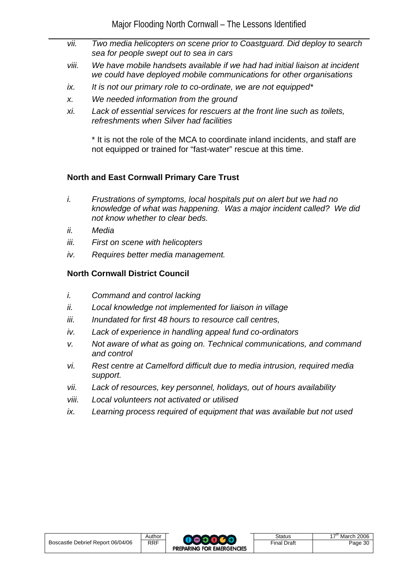- *vii. Two media helicopters on scene prior to Coastguard. Did deploy to search sea for people swept out to sea in cars*
- *viii. We have mobile handsets available if we had had initial liaison at incident we could have deployed mobile communications for other organisations*
- *ix. It is not our primary role to co-ordinate, we are not equipped\**
- *x. We needed information from the ground*
- *xi. Lack of essential services for rescuers at the front line such as toilets, refreshments when Silver had facilities*

\* It is not the role of the MCA to coordinate inland incidents, and staff are not equipped or trained for "fast-water" rescue at this time.

### **North and East Cornwall Primary Care Trust**

- *i. Frustrations of symptoms, local hospitals put on alert but we had no knowledge of what was happening. Was a major incident called? We did not know whether to clear beds.*
- *ii. Media*
- *iii. First on scene with helicopters*
- *iv. Requires better media management.*

### **North Cornwall District Council**

- *i. Command and control lacking*
- *ii. Local knowledge not implemented for liaison in village*
- *iii. Inundated for first 48 hours to resource call centres,*
- *iv. Lack of experience in handling appeal fund co-ordinators*
- *v. Not aware of what as going on. Technical communications, and command and control*
- *vi. Rest centre at Camelford difficult due to media intrusion, required media support.*
- *vii. Lack of resources, key personnel, holidays, out of hours availability*
- *viii. Local volunteers not activated or utilised*
- *ix. Learning process required of equipment that was available but not used*

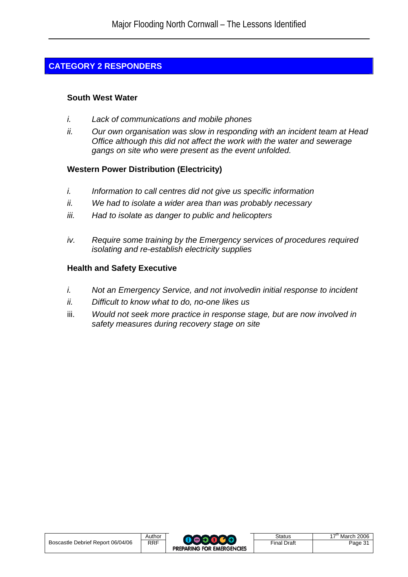## **CATEGORY 2 RESPONDERS**

### **South West Water**

- *i. Lack of communications and mobile phones*
- *ii. Our own organisation was slow in responding with an incident team at Head Office although this did not affect the work with the water and sewerage gangs on site who were present as the event unfolded.*

### **Western Power Distribution (Electricity)**

- *i. Information to call centres did not give us specific information*
- *ii. We had to isolate a wider area than was probably necessary*
- *iii. Had to isolate as danger to public and helicopters*
- *iv. Require some training by the Emergency services of procedures required isolating and re-establish electricity supplies*

## **Health and Safety Executive**

- *i. Not an Emergency Service, and not involvedin initial response to incident*
- *ii. Difficult to know what to do, no-one likes us*
- iii. *Would not seek more practice in response stage, but are now involved in safety measures during recovery stage on site*

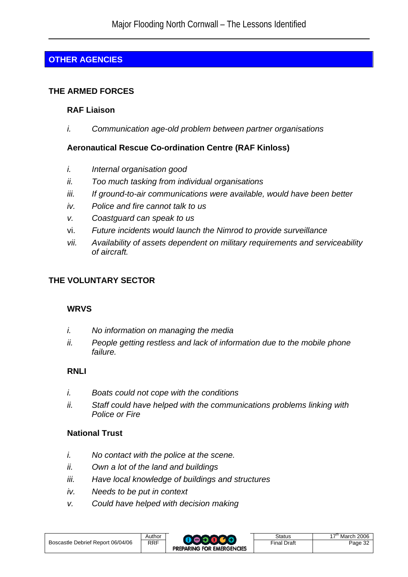## **OTHER AGENCIES**

### **THE ARMED FORCES**

### **RAF Liaison**

*i. Communication age-old problem between partner organisations* 

### **Aeronautical Rescue Co-ordination Centre (RAF Kinloss)**

- *i. Internal organisation good*
- *ii. Too much tasking from individual organisations*
- *iii. If ground-to-air communications were available, would have been better*
- *iv. Police and fire cannot talk to us*
- *v. Coastguard can speak to us*
- vi. *Future incidents would launch the Nimrod to provide surveillance*
- *vii. Availability of assets dependent on military requirements and serviceability of aircraft.*

## **THE VOLUNTARY SECTOR**

### **WRVS**

- *i. No information on managing the media*
- *ii. People getting restless and lack of information due to the mobile phone failure.*

### **RNLI**

- *i. Boats could not cope with the conditions*
- *ii. Staff could have helped with the communications problems linking with Police or Fire*

## **National Trust**

- *i. No contact with the police at the scene.*
- *ii. Own a lot of the land and buildings*
- *iii. Have local knowledge of buildings and structures*
- *iv. Needs to be put in context*
- *v. Could have helped with decision making*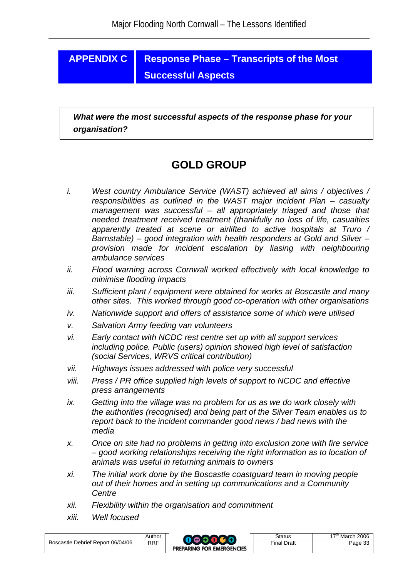## **APPENDIX C Response Phase – Transcripts of the Most Successful Aspects**

*What were the most successful aspects of the response phase for your organisation?* 

## **GOLD GROUP**

- *i. West country Ambulance Service (WAST) achieved all aims / objectives / responsibilities as outlined in the WAST major incident Plan – casualty management was successful – all appropriately triaged and those that needed treatment received treatment (thankfully no loss of life, casualties apparently treated at scene or airlifted to active hospitals at Truro / Barnstable) – good integration with health responders at Gold and Silver – provision made for incident escalation by liasing with neighbouring ambulance services*
- *ii. Flood warning across Cornwall worked effectively with local knowledge to minimise flooding impacts*
- *iii. Sufficient plant / equipment were obtained for works at Boscastle and many other sites. This worked through good co-operation with other organisations*
- *iv. Nationwide support and offers of assistance some of which were utilised*
- *v. Salvation Army feeding van volunteers*
- *vi. Early contact with NCDC rest centre set up with all support services including police. Public (users) opinion showed high level of satisfaction (social Services, WRVS critical contribution)*
- *vii. Highways issues addressed with police very successful*
- *viii. Press / PR office supplied high levels of support to NCDC and effective press arrangements*
- *ix. Getting into the village was no problem for us as we do work closely with the authorities (recognised) and being part of the Silver Team enables us to report back to the incident commander good news / bad news with the media*
- *x. Once on site had no problems in getting into exclusion zone with fire service – good working relationships receiving the right information as to location of animals was useful in returning animals to owners*
- *xi. The initial work done by the Boscastle coastguard team in moving people out of their homes and in setting up communications and a Community Centre*
- *xii. Flexibility within the organisation and commitment*
- *xiii. Well focused*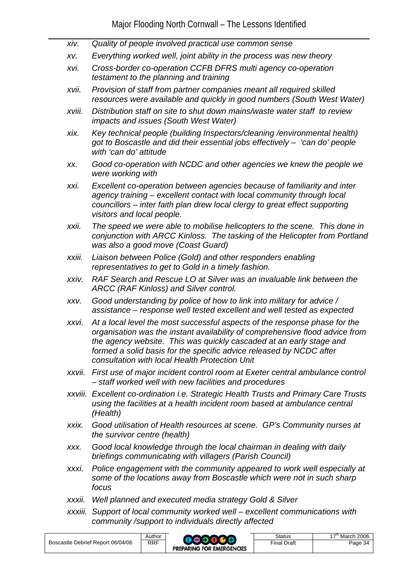- *xiv. Quality of people involved practical use common sense xv. Everything worked well, joint ability in the process was new theory xvi. Cross-border co-operation CCFB DFRS multi agency co-operation testament to the planning and training xvii. Provision of staff from partner companies meant all required skilled resources were available and quickly in good numbers (South West Water) xviii. Distribution staff on site to shut down mains/waste water staff to review impacts and issues (South West Water) xix. Key technical people (building Inspectors/cleaning /environmental health) got to Boscastle and did their essential jobs effectively – 'can do' people with 'can do' attitude xx. Good co-operation with NCDC and other agencies we knew the people we were working with xxi. Excellent co-operation between agencies because of familiarity and inter agency training – excellent contact with local community through local councillors – inter faith plan drew local clergy to great effect supporting visitors and local people. xxii. The speed we were able to mobilise helicopters to the scene. This done in conjunction with ARCC Kinloss. The tasking of the Helicopter from Portland was also a good move (Coast Guard) xxiii. Liaison between Police (Gold) and other responders enabling representatives to get to Gold in a timely fashion. xxiv. RAF Search and Rescue LO at Silver was an invaluable link between the ARCC (RAF Kinloss) and Silver control. xxv. Good understanding by police of how to link into military for advice / assistance – response well tested excellent and well tested as expected xxvi. At a local level the most successful aspects of the response phase for the organisation was the instant availability of comprehensive flood advice from the agency website. This was quickly cascaded at an early stage and formed a solid basis for the specific advice released by NCDC after consultation with local Health Protection Unit xxvii. First use of major incident control room at Exeter central ambulance control – staff worked well with new facilities and procedures xxviii. Excellent co-ordination i.e. Strategic Health Trusts and Primary Care Trusts using the facilities at a health incident room based at ambulance central (Health) xxix. Good utilisation of Health resources at scene. GP's Community nurses at the survivor centre (health) xxx. Good local knowledge through the local chairman in dealing with daily briefings communicating with villagers (Parish Council) xxxi. Police engagement with the community appeared to work well especially at some of the locations away from Boscastle which were not in such sharp* 
	- *xxxii. Well planned and executed media strategy Gold & Silver*
	- *xxxiii. Support of local community worked well excellent communications with community /support to individuals directly affected*

*focus*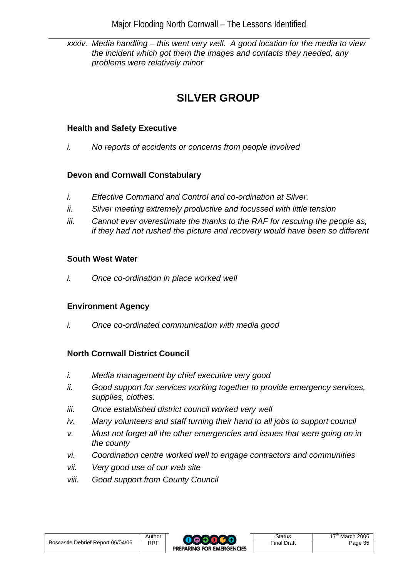*xxxiv. Media handling – this went very well. A good location for the media to view the incident which got them the images and contacts they needed, any problems were relatively minor* 

## **SILVER GROUP**

### **Health and Safety Executive**

*i. No reports of accidents or concerns from people involved* 

## **Devon and Cornwall Constabulary**

- *i. Effective Command and Control and co-ordination at Silver.*
- *ii. Silver meeting extremely productive and focussed with little tension*
- *iii. Cannot ever overestimate the thanks to the RAF for rescuing the people as, if they had not rushed the picture and recovery would have been so different*

### **South West Water**

*i. Once co-ordination in place worked well* 

## **Environment Agency**

*i. Once co-ordinated communication with media good* 

## **North Cornwall District Council**

- *i. Media management by chief executive very good*
- *ii. Good support for services working together to provide emergency services, supplies, clothes.*
- *iii. Once established district council worked very well*
- *iv. Many volunteers and staff turning their hand to all jobs to support council*
- *v. Must not forget all the other emergencies and issues that were going on in the county*
- *vi. Coordination centre worked well to engage contractors and communities*
- *vii. Very good use of our web site*
- *viii. Good support from County Council*

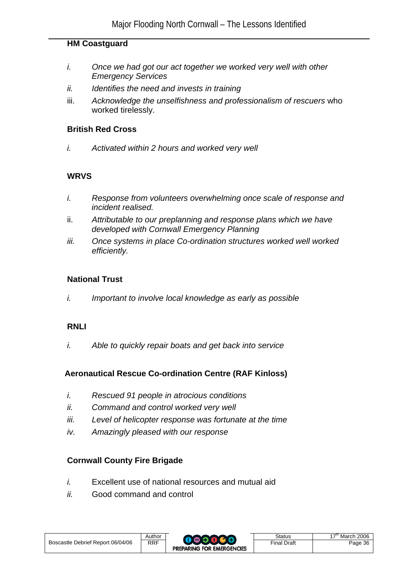#### **HM Coastguard**

- *i. Once we had got our act together we worked very well with other Emergency Services*
- *ii. Identifies the need and invests in training*
- iii. *Acknowledge the unselfishness and professionalism of rescuers* who worked tirelessly.

#### **British Red Cross**

*i. Activated within 2 hours and worked very well* 

### **WRVS**

- *i. Response from volunteers overwhelming once scale of response and incident realised.*
- ii. *Attributable to our preplanning and response plans which we have developed with Cornwall Emergency Planning*
- *iii. Once systems in place Co-ordination structures worked well worked efficiently.*

### **National Trust**

*i. Important to involve local knowledge as early as possible* 

### **RNLI**

*i. Able to quickly repair boats and get back into service* 

### **Aeronautical Rescue Co-ordination Centre (RAF Kinloss)**

- *i. Rescued 91 people in atrocious conditions*
- *ii. Command and control worked very well*
- *iii. Level of helicopter response was fortunate at the time*
- *iv. Amazingly pleased with our response*

### **Cornwall County Fire Brigade**

- *i.* Excellent use of national resources and mutual aid
- *ii.* Good command and control

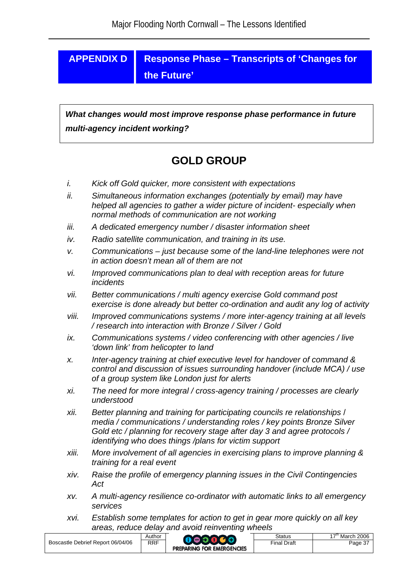## **APPENDIX D Response Phase – Transcripts of 'Changes for the Future'**

 *What changes would most improve response phase performance in future multi-agency incident working?* 

## **GOLD GROUP**

- *i. Kick off Gold quicker, more consistent with expectations*
- *ii. Simultaneous information exchanges (potentially by email) may have helped all agencies to gather a wider picture of incident- especially when normal methods of communication are not working*
- *iii. A dedicated emergency number / disaster information sheet*
- *iv. Radio satellite communication, and training in its use.*
- *v. Communications just because some of the land-line telephones were not in action doesn't mean all of them are not*
- *vi. Improved communications plan to deal with reception areas for future incidents*
- *vii. Better communications / multi agency exercise Gold command post exercise is done already but better co-ordination and audit any log of activity*
- *viii. Improved communications systems / more inter-agency training at all levels / research into interaction with Bronze / Silver / Gold*
- *ix. Communications systems / video conferencing with other agencies / live 'down link' from helicopter to land*
- *x. Inter-agency training at chief executive level for handover of command & control and discussion of issues surrounding handover (include MCA) / use of a group system like London just for alerts*
- *xi. The need for more integral / cross-agency training / processes are clearly understood*
- *xii. Better planning and training for participating councils re relationships* / *media / communications / understanding roles / key points Bronze Silver Gold etc / planning for recovery stage after day 3 and agree protocols / identifying who does things /plans for victim support*
- *xiii. More involvement of all agencies in exercising plans to improve planning & training for a real event*
- *xiv. Raise the profile of emergency planning issues in the Civil Contingencies Act*
- *xv. A multi-agency resilience co-ordinator with automatic links to all emergency services*
- *xvi. Establish some templates for action to get in gear more quickly on all key areas, reduce delay and avoid reinventing wheels*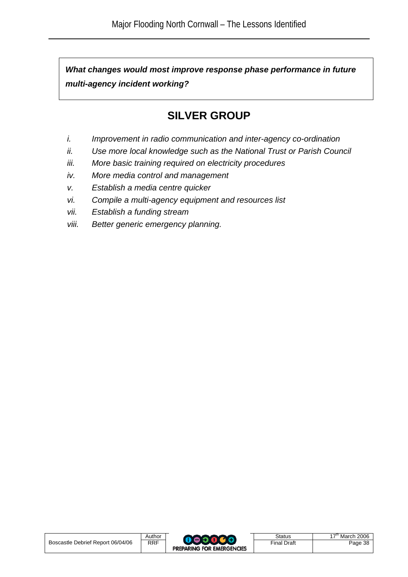*What changes would most improve response phase performance in future multi-agency incident working?* 

## **SILVER GROUP**

- *i. Improvement in radio communication and inter-agency co-ordination*
- *ii. Use more local knowledge such as the National Trust or Parish Council*
- *iii. More basic training required on electricity procedures*
- *iv. More media control and management*
- *v. Establish a media centre quicker*
- *vi. Compile a multi-agency equipment and resources list*
- *vii. Establish a funding stream*
- *viii. Better generic emergency planning.*

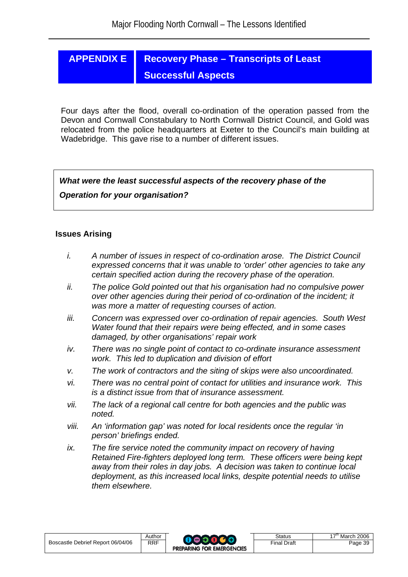## **APPENDIX E Recovery Phase – Transcripts of Least Successful Aspects**

Four days after the flood, overall co-ordination of the operation passed from the Devon and Cornwall Constabulary to North Cornwall District Council, and Gold was relocated from the police headquarters at Exeter to the Council's main building at Wadebridge. This gave rise to a number of different issues.

 *What were the least successful aspects of the recovery phase of the Operation for your organisation?* 

#### **Issues Arising**

- *i. A number of issues in respect of co-ordination arose. The District Council expressed concerns that it was unable to 'order' other agencies to take any certain specified action during the recovery phase of the operation.*
- *ii. The police Gold pointed out that his organisation had no compulsive power over other agencies during their period of co-ordination of the incident; it was more a matter of requesting courses of action.*
- *iii. Concern was expressed over co-ordination of repair agencies. South West Water found that their repairs were being effected, and in some cases damaged, by other organisations' repair work*
- *iv. There was no single point of contact to co-ordinate insurance assessment work. This led to duplication and division of effort*
- *v. The work of contractors and the siting of skips were also uncoordinated.*
- *vi. There was no central point of contact for utilities and insurance work. This is a distinct issue from that of insurance assessment.*
- *vii. The lack of a regional call centre for both agencies and the public was noted.*
- *viii. An 'information gap' was noted for local residents once the regular 'in person' briefings ended.*
- *ix. The fire service noted the community impact on recovery of having Retained Fire-fighters deployed long term. These officers were being kept away from their roles in day jobs. A decision was taken to continue local deployment, as this increased local links, despite potential needs to utilise them elsewhere.*

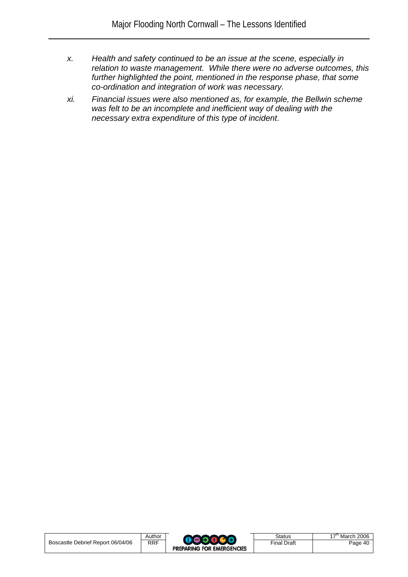- *x. Health and safety continued to be an issue at the scene, especially in relation to waste management. While there were no adverse outcomes, this further highlighted the point, mentioned in the response phase, that some co-ordination and integration of work was necessary.*
- *xi. Financial issues were also mentioned as, for example, the Bellwin scheme was felt to be an incomplete and inefficient way of dealing with the necessary extra expenditure of this type of incident*.

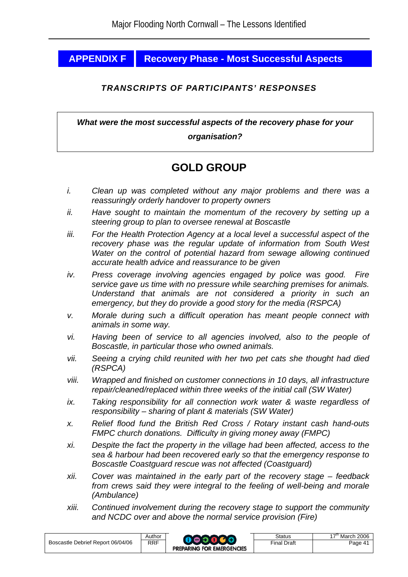## **APPENDIX F Recovery Phase - Most Successful Aspects**

### *TRANSCRIPTS OF PARTICIPANTS' RESPONSES*

*What were the most successful aspects of the recovery phase for your organisation?* 

## **GOLD GROUP**

- *i. Clean up was completed without any major problems and there was a reassuringly orderly handover to property owners*
- *ii. Have sought to maintain the momentum of the recovery by setting up a steering group to plan to oversee renewal at Boscastle*
- *iii. For the Health Protection Agency at a local level a successful aspect of the recovery phase was the regular update of information from South West Water on the control of potential hazard from sewage allowing continued accurate health advice and reassurance to be given*
- *iv. Press coverage involving agencies engaged by police was good. Fire service gave us time with no pressure while searching premises for animals. Understand that animals are not considered a priority in such an emergency, but they do provide a good story for the media (RSPCA)*
- *v. Morale during such a difficult operation has meant people connect with animals in some way.*
- *vi. Having been of service to all agencies involved, also to the people of Boscastle, in particular those who owned animals.*
- *vii. Seeing a crying child reunited with her two pet cats she thought had died (RSPCA)*
- *viii. Wrapped and finished on customer connections in 10 days, all infrastructure repair/cleaned/replaced within three weeks of the initial call (SW Water)*
- *ix. Taking responsibility for all connection work water & waste regardless of responsibility – sharing of plant & materials (SW Water)*
- *x. Relief flood fund the British Red Cross / Rotary instant cash hand-outs FMPC church donations. Difficulty in giving money away (FMPC)*
- *xi. Despite the fact the property in the village had been affected, access to the sea & harbour had been recovered early so that the emergency response to Boscastle Coastguard rescue was not affected (Coastguard)*
- *xii. Cover was maintained in the early part of the recovery stage feedback from crews said they were integral to the feeling of well-being and morale (Ambulance)*
- *xiii. Continued involvement during the recovery stage to support the community and NCDC over and above the normal service provision (Fire)*

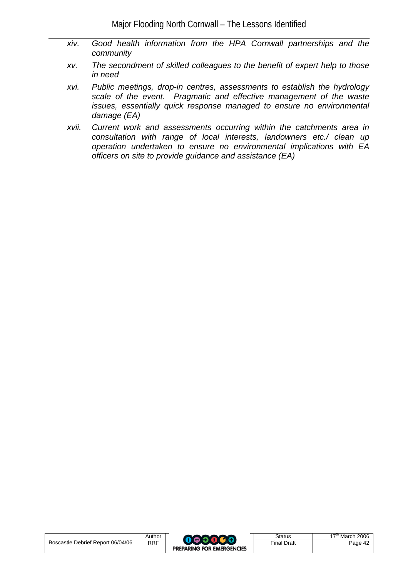- *xiv. Good health information from the HPA Cornwall partnerships and the community*
- *xv. The secondment of skilled colleagues to the benefit of expert help to those in need*
- *xvi. Public meetings, drop-in centres, assessments to establish the hydrology scale of the event. Pragmatic and effective management of the waste issues, essentially quick response managed to ensure no environmental damage (EA)*
- *xvii. Current work and assessments occurring within the catchments area in consultation with range of local interests, landowners etc./ clean up operation undertaken to ensure no environmental implications with EA officers on site to provide guidance and assistance (EA)*

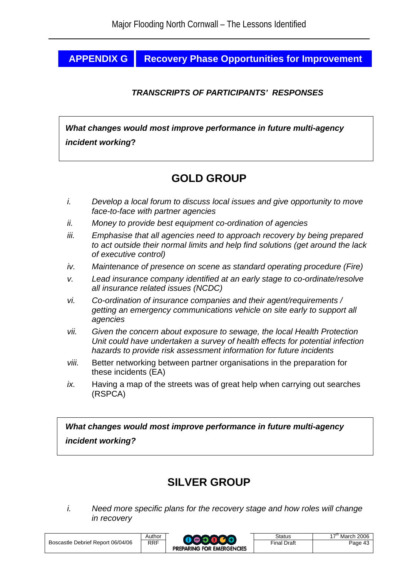## **APPENDIX G | Recovery Phase Opportunities for Improvement**

## *TRANSCRIPTS OF PARTICIPANTS' RESPONSES*

 *What changes would most improve performance in future multi-agency incident working***?** 

## **GOLD GROUP**

- *i. Develop a local forum to discuss local issues and give opportunity to move face-to-face with partner agencies*
- *ii. Money to provide best equipment co-ordination of agencies*
- *iii. Emphasise that all agencies need to approach recovery by being prepared to act outside their normal limits and help find solutions (get around the lack of executive control)*
- *iv. Maintenance of presence on scene as standard operating procedure (Fire)*
- *v. Lead insurance company identified at an early stage to co-ordinate/resolve all insurance related issues (NCDC)*
- *vi. Co-ordination of insurance companies and their agent/requirements / getting an emergency communications vehicle on site early to support all agencies*
- *vii. Given the concern about exposure to sewage, the local Health Protection Unit could have undertaken a survey of health effects for potential infection hazards to provide risk assessment information for future incidents*
- *viii.* Better networking between partner organisations in the preparation for these incidents (EA)
- *ix.* Having a map of the streets was of great help when carrying out searches (RSPCA)

 *What changes would most improve performance in future multi-agency incident working?* 

## **SILVER GROUP**

*i. Need more specific plans for the recovery stage and how roles will change in recovery* 

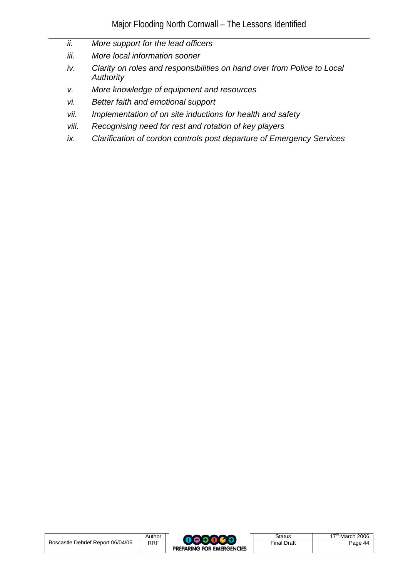- *ii. More support for the lead officers*
- *iii. More local information sooner*
- *iv. Clarity on roles and responsibilities on hand over from Police to Local Authority*
- *v. More knowledge of equipment and resources*
- *vi. Better faith and emotional support*
- *vii. Implementation of on site inductions for health and safety*
- *viii. Recognising need for rest and rotation of key players*
- *ix. Clarification of cordon controls post departure of Emergency Services*

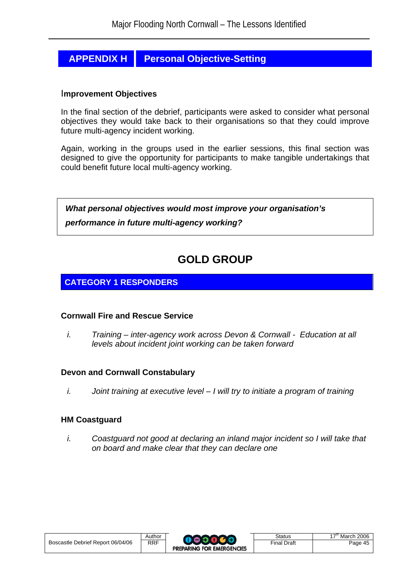## **APPENDIX H | Personal Objective-Setting**

#### I**mprovement Objectives**

In the final section of the debrief, participants were asked to consider what personal objectives they would take back to their organisations so that they could improve future multi-agency incident working.

Again, working in the groups used in the earlier sessions, this final section was designed to give the opportunity for participants to make tangible undertakings that could benefit future local multi-agency working.



## **GOLD GROUP**

## **CATEGORY 1 RESPONDERS**

#### **Cornwall Fire and Rescue Service**

*i. Training – inter-agency work across Devon & Cornwall - Education at all levels about incident joint working can be taken forward* 

### **Devon and Cornwall Constabulary**

*i.* Joint training at executive level – I will try to initiate a program of training

#### **HM Coastguard**

*i. Coastguard not good at declaring an inland major incident so I will take that on board and make clear that they can declare one*

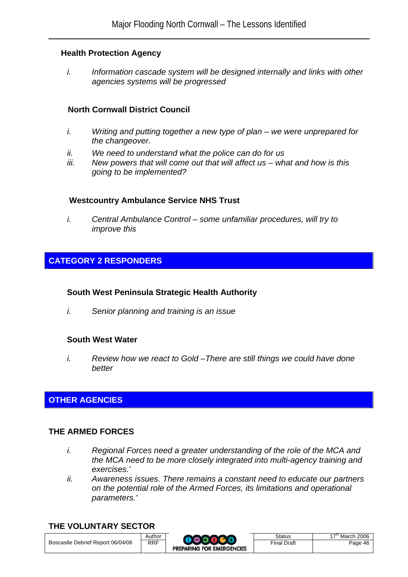#### **Health Protection Agency**

*i. Information cascade system will be designed internally and links with other agencies systems will be progressed* 

### **North Cornwall District Council**

- *i. Writing and putting together a new type of plan we were unprepared for the changeover.*
- *ii. We need to understand what the police can do for us*
- *iii. New powers that will come out that will affect us what and how is this going to be implemented?*

### **Westcountry Ambulance Service NHS Trust**

*i. Central Ambulance Control – some unfamiliar procedures, will try to improve this*

### **CATEGORY 2 RESPONDERS**

#### **South West Peninsula Strategic Health Authority**

*i. Senior planning and training is an issue*

#### **South West Water**

*i. Review how we react to Gold –There are still things we could have done better*

## **OTHER AGENCIES**

#### **THE ARMED FORCES**

- *i. Regional Forces need a greater understanding of the role of the MCA and the MCA need to be more closely integrated into multi-agency training and exercises.'*
- *ii. Awareness issues. There remains a constant need to educate our partners on the potential role of the Armed Forces, its limitations and operational parameters.'*

#### **THE VOLUNTARY SECTOR**



| <b>Status</b>      |  |
|--------------------|--|
| <b>Final Draft</b> |  |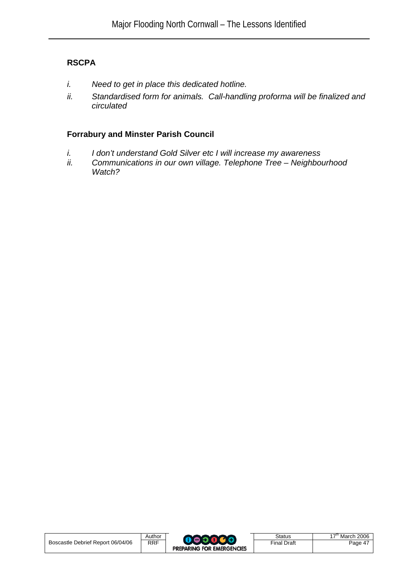## **RSCPA**

- *i. Need to get in place this dedicated hotline.*
- *ii. Standardised form for animals. Call-handling proforma will be finalized and circulated*

## **Forrabury and Minster Parish Council**

- *i. I don't understand Gold Silver etc I will increase my awareness*
- *ii. Communications in our own village. Telephone Tree Neighbourhood Watch?*

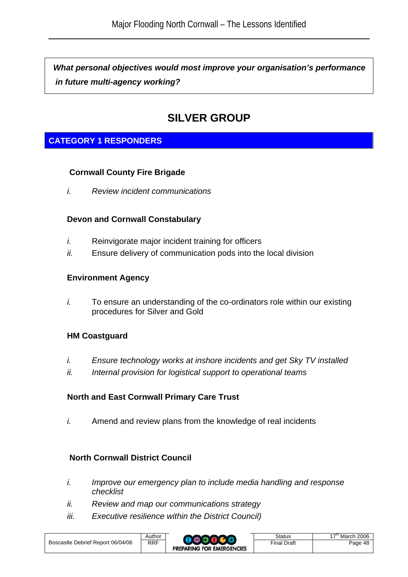*What personal objectives would most improve your organisation's performance in future multi-agency working?*

## **SILVER GROUP**

## **CATEGORY 1 RESPONDERS**

### **Cornwall County Fire Brigade**

*i. Review incident communications* 

### **Devon and Cornwall Constabulary**

- *i.* Reinvigorate major incident training for officers
- *ii.* Ensure delivery of communication pods into the local division

### **Environment Agency**

*i.* To ensure an understanding of the co-ordinators role within our existing procedures for Silver and Gold

## **HM Coastguard**

- *i. Ensure technology works at inshore incidents and get Sky TV installed*
- *ii. Internal provision for logistical support to operational teams*

## **North and East Cornwall Primary Care Trust**

*i.* Amend and review plans from the knowledge of real incidents

## **North Cornwall District Council**

- *i. Improve our emergency plan to include media handling and response checklist*
- *ii. Review and map our communications strategy*
- *iii. Executive resilience within the District Council)*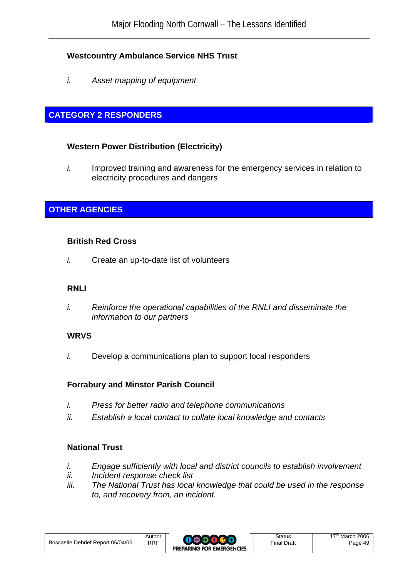## **Westcountry Ambulance Service NHS Trust**

*i. Asset mapping of equipment* 

## **CATEGORY 2 RESPONDERS**

## **Western Power Distribution (Electricity)**

*i.* Improved training and awareness for the emergency services in relation to electricity procedures and dangers

## **OTHER AGENCIES**

### **British Red Cross**

*i.* Create an up-to-date list of volunteers

## **RNLI**

*i. Reinforce the operational capabilities of the RNLI and disseminate the information to our partners* 

## **WRVS**

*i.* Develop a communications plan to support local responders

## **Forrabury and Minster Parish Council**

- *i. Press for better radio and telephone communications*
- *ii. Establish a local contact to collate local knowledge and contacts*

## **National Trust**

- *i. Engage sufficiently with local and district councils to establish involvement*
- *ii. Incident response check list*
- *iii. The National Trust has local knowledge that could be used in the response to, and recovery from, an incident.*